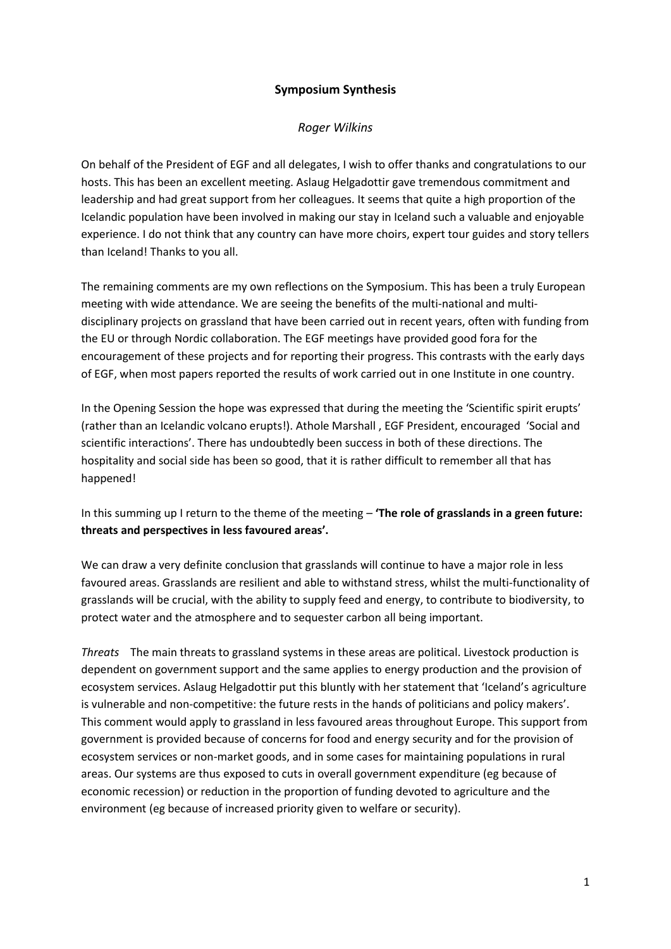## **Symposium Synthesis**

## *Roger Wilkins*

On behalf of the President of EGF and all delegates, I wish to offer thanks and congratulations to our hosts. This has been an excellent meeting. Aslaug Helgadottir gave tremendous commitment and leadership and had great support from her colleagues. It seems that quite a high proportion of the Icelandic population have been involved in making our stay in Iceland such a valuable and enjoyable experience. I do not think that any country can have more choirs, expert tour guides and story tellers than Iceland! Thanks to you all.

The remaining comments are my own reflections on the Symposium. This has been a truly European meeting with wide attendance. We are seeing the benefits of the multi-national and multidisciplinary projects on grassland that have been carried out in recent years, often with funding from the EU or through Nordic collaboration. The EGF meetings have provided good fora for the encouragement of these projects and for reporting their progress. This contrasts with the early days of EGF, when most papers reported the results of work carried out in one Institute in one country.

In the Opening Session the hope was expressed that during the meeting the 'Scientific spirit erupts' (rather than an Icelandic volcano erupts!). Athole Marshall , EGF President, encouraged 'Social and scientific interactions'. There has undoubtedly been success in both of these directions. The hospitality and social side has been so good, that it is rather difficult to remember all that has happened!

In this summing up I return to the theme of the meeting – **'The role of grasslands in a green future: threats and perspectives in less favoured areas'.**

We can draw a very definite conclusion that grasslands will continue to have a major role in less favoured areas. Grasslands are resilient and able to withstand stress, whilst the multi-functionality of grasslands will be crucial, with the ability to supply feed and energy, to contribute to biodiversity, to protect water and the atmosphere and to sequester carbon all being important.

*Threats* The main threats to grassland systems in these areas are political. Livestock production is dependent on government support and the same applies to energy production and the provision of ecosystem services. Aslaug Helgadottir put this bluntly with her statement that 'Iceland's agriculture is vulnerable and non-competitive: the future rests in the hands of politicians and policy makers'. This comment would apply to grassland in less favoured areas throughout Europe. This support from government is provided because of concerns for food and energy security and for the provision of ecosystem services or non-market goods, and in some cases for maintaining populations in rural areas. Our systems are thus exposed to cuts in overall government expenditure (eg because of economic recession) or reduction in the proportion of funding devoted to agriculture and the environment (eg because of increased priority given to welfare or security).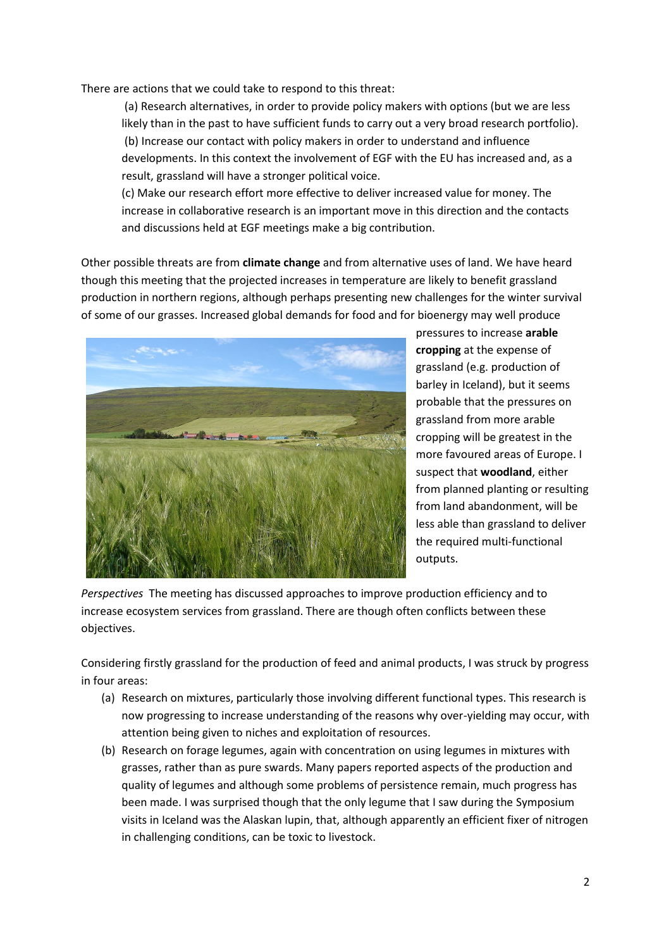There are actions that we could take to respond to this threat:

(a) Research alternatives, in order to provide policy makers with options (but we are less likely than in the past to have sufficient funds to carry out a very broad research portfolio). (b) Increase our contact with policy makers in order to understand and influence developments. In this context the involvement of EGF with the EU has increased and, as a result, grassland will have a stronger political voice.

(c) Make our research effort more effective to deliver increased value for money. The increase in collaborative research is an important move in this direction and the contacts and discussions held at EGF meetings make a big contribution.

Other possible threats are from **climate change** and from alternative uses of land. We have heard though this meeting that the projected increases in temperature are likely to benefit grassland production in northern regions, although perhaps presenting new challenges for the winter survival of some of our grasses. Increased global demands for food and for bioenergy may well produce



pressures to increase **arable cropping** at the expense of grassland (e.g. production of barley in Iceland), but it seems probable that the pressures on grassland from more arable cropping will be greatest in the more favoured areas of Europe. I suspect that **woodland**, either from planned planting or resulting from land abandonment, will be less able than grassland to deliver the required multi-functional outputs.

*Perspectives* The meeting has discussed approaches to improve production efficiency and to increase ecosystem services from grassland. There are though often conflicts between these objectives.

Considering firstly grassland for the production of feed and animal products, I was struck by progress in four areas:

- (a) Research on mixtures, particularly those involving different functional types. This research is now progressing to increase understanding of the reasons why over-yielding may occur, with attention being given to niches and exploitation of resources.
- (b) Research on forage legumes, again with concentration on using legumes in mixtures with grasses, rather than as pure swards. Many papers reported aspects of the production and quality of legumes and although some problems of persistence remain, much progress has been made. I was surprised though that the only legume that I saw during the Symposium visits in Iceland was the Alaskan lupin, that, although apparently an efficient fixer of nitrogen in challenging conditions, can be toxic to livestock.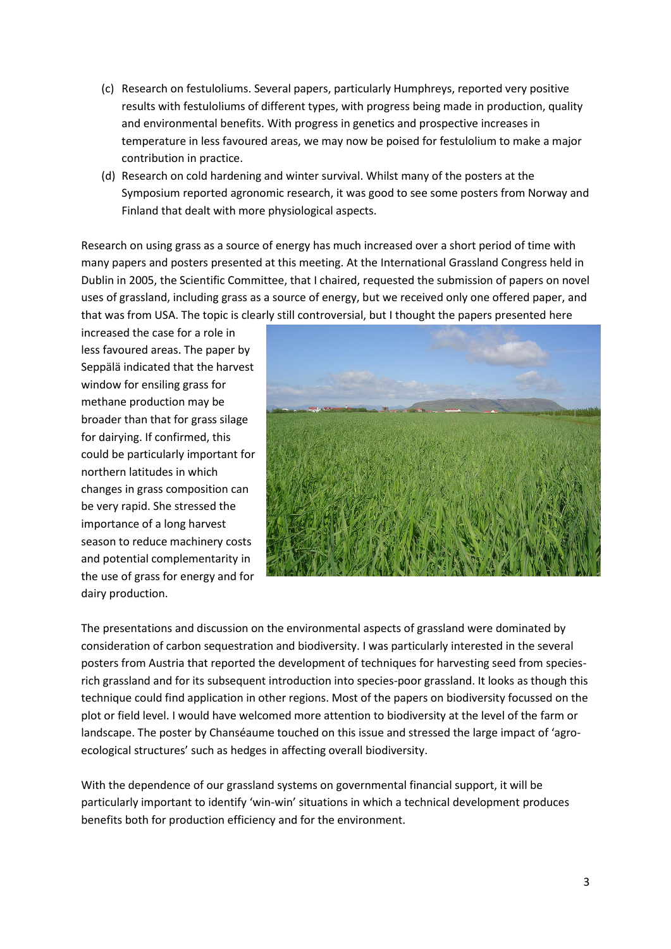- (c) Research on festuloliums. Several papers, particularly Humphreys, reported very positive results with festuloliums of different types, with progress being made in production, quality and environmental benefits. With progress in genetics and prospective increases in temperature in less favoured areas, we may now be poised for festulolium to make a major contribution in practice.
- (d) Research on cold hardening and winter survival. Whilst many of the posters at the Symposium reported agronomic research, it was good to see some posters from Norway and Finland that dealt with more physiological aspects.

Research on using grass as a source of energy has much increased over a short period of time with many papers and posters presented at this meeting. At the International Grassland Congress held in Dublin in 2005, the Scientific Committee, that I chaired, requested the submission of papers on novel uses of grassland, including grass as a source of energy, but we received only one offered paper, and that was from USA. The topic is clearly still controversial, but I thought the papers presented here

increased the case for a role in less favoured areas. The paper by Seppälä indicated that the harvest window for ensiling grass for methane production may be broader than that for grass silage for dairying. If confirmed, this could be particularly important for northern latitudes in which changes in grass composition can be very rapid. She stressed the importance of a long harvest season to reduce machinery costs and potential complementarity in the use of grass for energy and for dairy production.



The presentations and discussion on the environmental aspects of grassland were dominated by consideration of carbon sequestration and biodiversity. I was particularly interested in the several posters from Austria that reported the development of techniques for harvesting seed from speciesrich grassland and for its subsequent introduction into species-poor grassland. It looks as though this technique could find application in other regions. Most of the papers on biodiversity focussed on the plot or field level. I would have welcomed more attention to biodiversity at the level of the farm or landscape. The poster by Chanséaume touched on this issue and stressed the large impact of 'agroecological structures' such as hedges in affecting overall biodiversity.

With the dependence of our grassland systems on governmental financial support, it will be particularly important to identify 'win-win' situations in which a technical development produces benefits both for production efficiency and for the environment.